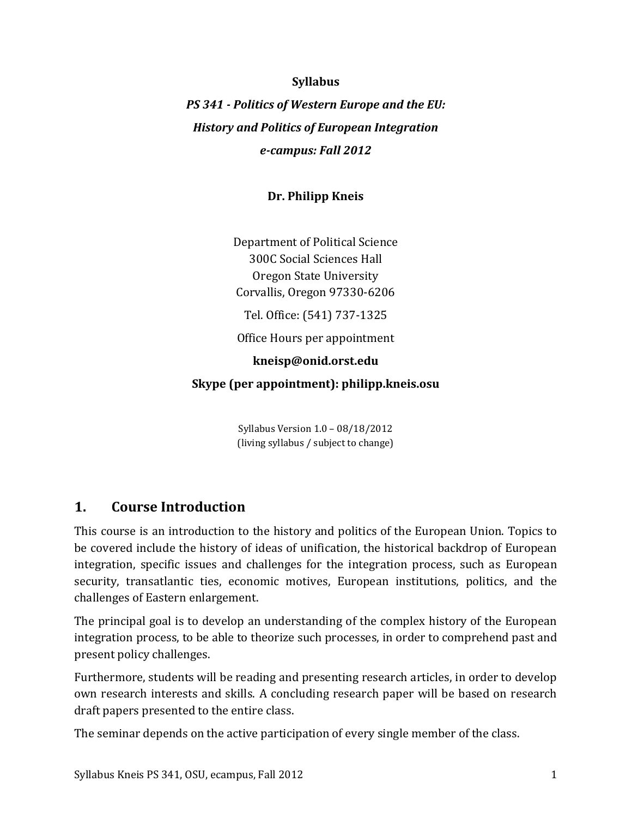### **Syllabus**

*PS 341 - Politics of Western Europe and the EU: History and Politics of European Integration e-campus: Fall 2012*

## **Dr. Philipp Kneis**

Department of Political Science 300C Social Sciences Hall Oregon State University Corvallis, Oregon 97330-6206

Tel. Office: (541) 737-1325

Office Hours per appointment

### **kneisp@onid.orst.edu**

**Skype (per appointment): philipp.kneis.osu**

Syllabus Version 1.0 – 08/18/2012 (living syllabus / subject to change)

## **1. Course Introduction**

This course is an introduction to the history and politics of the European Union. Topics to be covered include the history of ideas of unification, the historical backdrop of European integration, specific issues and challenges for the integration process, such as European security, transatlantic ties, economic motives, European institutions, politics, and the challenges of Eastern enlargement.

The principal goal is to develop an understanding of the complex history of the European integration process, to be able to theorize such processes, in order to comprehend past and present policy challenges.

Furthermore, students will be reading and presenting research articles, in order to develop own research interests and skills. A concluding research paper will be based on research draft papers presented to the entire class.

The seminar depends on the active participation of every single member of the class.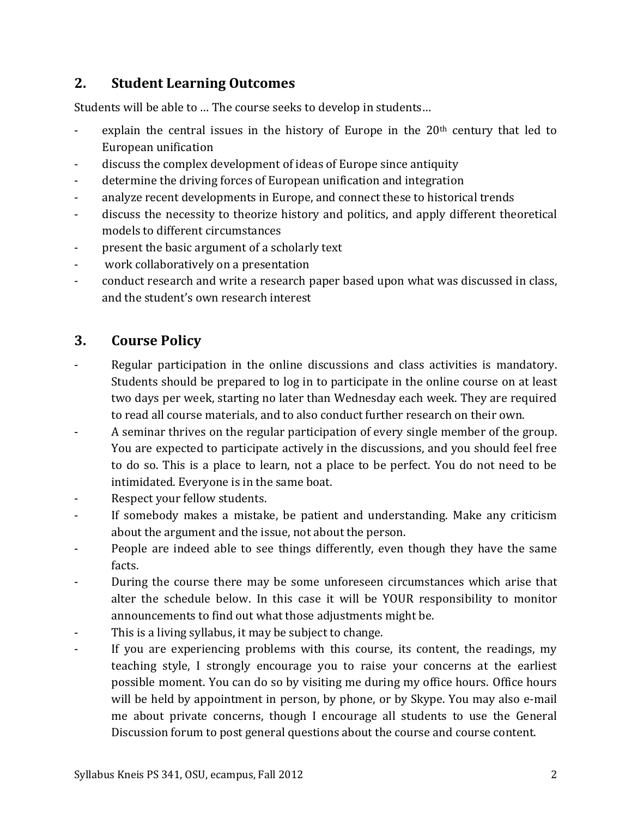## **2. Student Learning Outcomes**

Students will be able to … The course seeks to develop in students…

- explain the central issues in the history of Europe in the  $20<sup>th</sup>$  century that led to European unification
- discuss the complex development of ideas of Europe since antiquity
- determine the driving forces of European unification and integration
- analyze recent developments in Europe, and connect these to historical trends
- discuss the necessity to theorize history and politics, and apply different theoretical models to different circumstances
- present the basic argument of a scholarly text
- work collaboratively on a presentation
- conduct research and write a research paper based upon what was discussed in class, and the student's own research interest

## **3. Course Policy**

- Regular participation in the online discussions and class activities is mandatory. Students should be prepared to log in to participate in the online course on at least two days per week, starting no later than Wednesday each week. They are required to read all course materials, and to also conduct further research on their own.
- A seminar thrives on the regular participation of every single member of the group. You are expected to participate actively in the discussions, and you should feel free to do so. This is a place to learn, not a place to be perfect. You do not need to be intimidated. Everyone is in the same boat.
- Respect your fellow students.
- If somebody makes a mistake, be patient and understanding. Make any criticism about the argument and the issue, not about the person.
- People are indeed able to see things differently, even though they have the same facts.
- During the course there may be some unforeseen circumstances which arise that alter the schedule below. In this case it will be YOUR responsibility to monitor announcements to find out what those adjustments might be.
- This is a living syllabus, it may be subject to change.
- If you are experiencing problems with this course, its content, the readings, my teaching style, I strongly encourage you to raise your concerns at the earliest possible moment. You can do so by visiting me during my office hours. Office hours will be held by appointment in person, by phone, or by Skype. You may also e-mail me about private concerns, though I encourage all students to use the General Discussion forum to post general questions about the course and course content.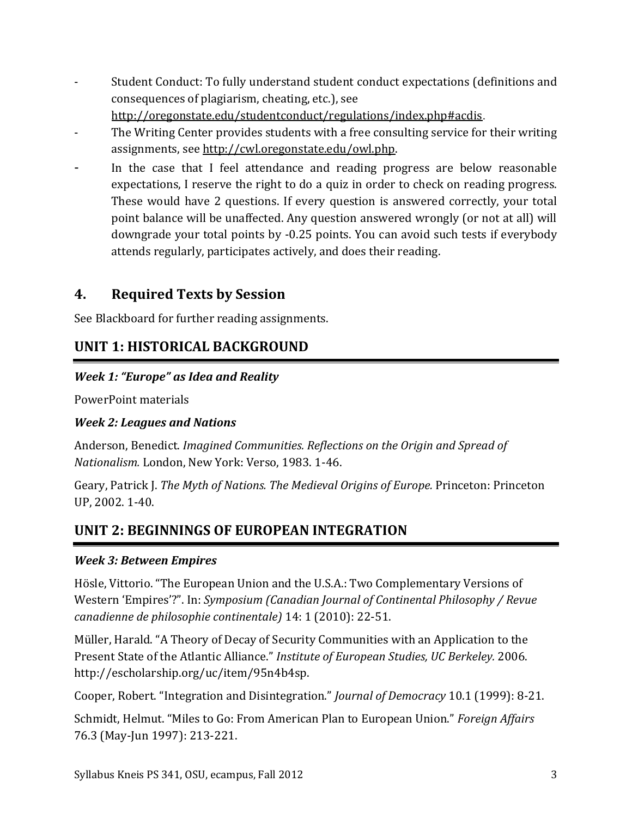- Student Conduct: To fully understand student conduct expectations (definitions and consequences of plagiarism, cheating, etc.), see

<http://oregonstate.edu/studentconduct/regulations/index.php#acdis>.

- The Writing Center provides students with a free consulting service for their writing assignments, see [http://cwl.oregonstate.edu/owl.php.](http://cwl.oregonstate.edu/owl.php)
- In the case that I feel attendance and reading progress are below reasonable expectations, I reserve the right to do a quiz in order to check on reading progress. These would have 2 questions. If every question is answered correctly, your total point balance will be unaffected. Any question answered wrongly (or not at all) will downgrade your total points by -0.25 points. You can avoid such tests if everybody attends regularly, participates actively, and does their reading.

## **4. Required Texts by Session**

See Blackboard for further reading assignments.

# **UNIT 1: HISTORICAL BACKGROUND**

## *Week 1: "Europe" as Idea and Reality*

PowerPoint materials

## *Week 2: Leagues and Nations*

Anderson, Benedict. *Imagined Communities. Reflections on the Origin and Spread of Nationalism.* London, New York: Verso, 1983. 1-46.

Geary, Patrick J. *The Myth of Nations. The Medieval Origins of Europe.* Princeton: Princeton UP, 2002. 1-40.

# **UNIT 2: BEGINNINGS OF EUROPEAN INTEGRATION**

## *Week 3: Between Empires*

Hösle, Vittorio. "The European Union and the U.S.A.: Two Complementary Versions of Western 'Empires'?". In: *Symposium (Canadian Journal of Continental Philosophy / Revue canadienne de philosophie continentale)* 14: 1 (2010): 22-51.

Müller, Harald. "A Theory of Decay of Security Communities with an Application to the Present State of the Atlantic Alliance." *Institute of European Studies, UC Berkeley.* 2006. http://escholarship.org/uc/item/95n4b4sp.

Cooper, Robert. "Integration and Disintegration." *Journal of Democracy* 10.1 (1999): 8-21.

Schmidt, Helmut. "Miles to Go: From American Plan to European Union." *Foreign Affairs* 76.3 (May-Jun 1997): 213-221.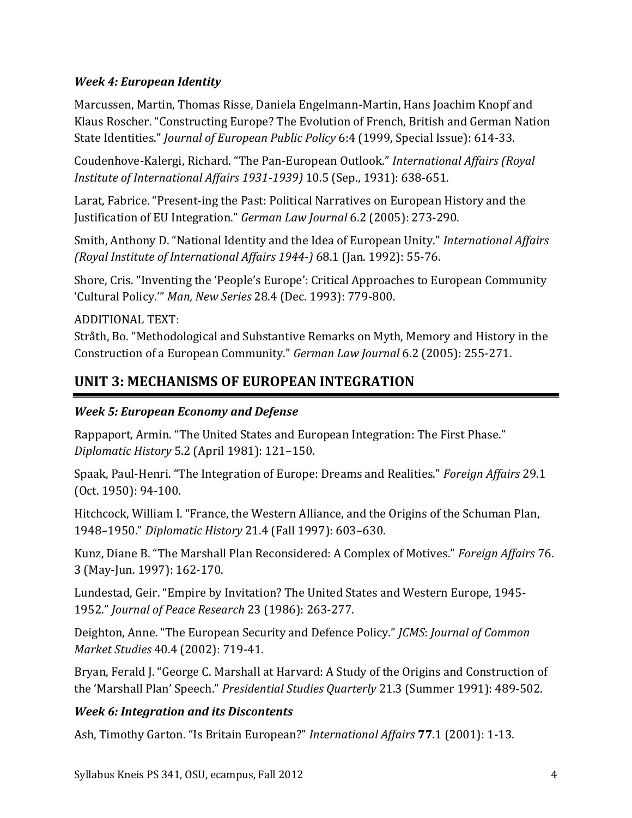## *Week 4: European Identity*

Marcussen, Martin, Thomas Risse, Daniela Engelmann-Martin, Hans Joachim Knopf and Klaus Roscher. "Constructing Europe? The Evolution of French, British and German Nation State Identities." *Journal of European Public Policy* 6:4 (1999, Special Issue): 614-33.

Coudenhove-Kalergi, Richard. "The Pan-European Outlook." *International Affairs (Royal Institute of International Affairs 1931-1939)* 10.5 (Sep., 1931): 638-651.

Larat, Fabrice. "Present-ing the Past: Political Narratives on European History and the Justification of EU Integration." *German Law Journal* 6.2 (2005): 273-290.

Smith, Anthony D. "National Identity and the Idea of European Unity." *International Affairs (Royal Institute of International Affairs 1944-)* 68.1 (Jan. 1992): 55-76.

Shore, Cris. "Inventing the 'People's Europe': Critical Approaches to European Community 'Cultural Policy.'" *Man, New Series* 28.4 (Dec. 1993): 779-800.

ADDITIONAL TEXT:

Stråth, Bo. "Methodological and Substantive Remarks on Myth, Memory and History in the Construction of a European Community." *German Law Journal* 6.2 (2005): 255-271.

# **UNIT 3: MECHANISMS OF EUROPEAN INTEGRATION**

## *Week 5: European Economy and Defense*

Rappaport, Armin. "The United States and European Integration: The First Phase." *Diplomatic History* 5.2 (April 1981): 121–150.

Spaak, Paul-Henri. "The Integration of Europe: Dreams and Realities." *Foreign Affairs* 29.1 (Oct. 1950): 94-100.

Hitchcock, William I. "France, the Western Alliance, and the Origins of the Schuman Plan, 1948–1950." *Diplomatic History* 21.4 (Fall 1997): 603–630.

Kunz, Diane B. "The Marshall Plan Reconsidered: A Complex of Motives." *Foreign Affairs* 76. 3 (May-Jun. 1997): 162-170.

Lundestad, Geir. "Empire by Invitation? The United States and Western Europe, 1945- 1952." *Journal of Peace Research* 23 (1986): 263-277.

Deighton, Anne. "The European Security and Defence Policy." *JCMS*: *Journal of Common Market Studies* 40.4 (2002): 719-41.

Bryan, Ferald J. "George C. Marshall at Harvard: A Study of the Origins and Construction of the 'Marshall Plan' Speech." *Presidential Studies Quarterly* 21.3 (Summer 1991): 489-502.

## *Week 6: Integration and its Discontents*

Ash, Timothy Garton. "Is Britain European?" *International Affairs* **77**.1 (2001): 1-13.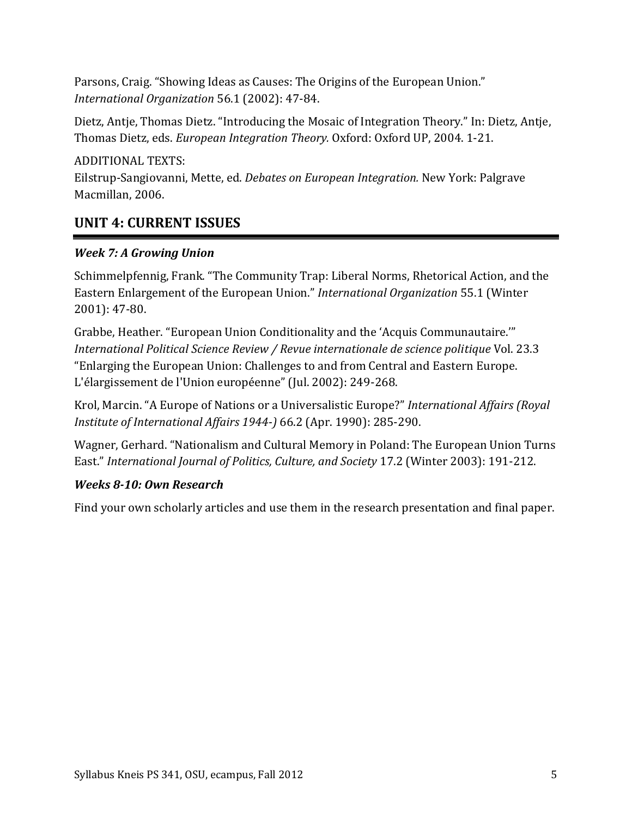Parsons, Craig. "Showing Ideas as Causes: The Origins of the European Union." *International Organization* 56.1 (2002): 47-84.

Dietz, Antje, Thomas Dietz. "Introducing the Mosaic of Integration Theory." In: Dietz, Antje, Thomas Dietz, eds. *European Integration Theory.* Oxford: Oxford UP, 2004. 1-21.

ADDITIONAL TEXTS:

Eilstrup-Sangiovanni, Mette, ed. *Debates on European Integration.* New York: Palgrave Macmillan, 2006.

## **UNIT 4: CURRENT ISSUES**

## *Week 7: A Growing Union*

Schimmelpfennig, Frank. "The Community Trap: Liberal Norms, Rhetorical Action, and the Eastern Enlargement of the European Union." *International Organization* 55.1 (Winter 2001): 47-80.

Grabbe, Heather. "European Union Conditionality and the 'Acquis Communautaire.'" *International Political Science Review / Revue internationale de science politique* Vol. 23.3 "Enlarging the European Union: Challenges to and from Central and Eastern Europe. L'élargissement de l'Union européenne" (Jul. 2002): 249-268.

Krol, Marcin. "A Europe of Nations or a Universalistic Europe?" *International Affairs (Royal Institute of International Affairs 1944-)* 66.2 (Apr. 1990): 285-290.

Wagner, Gerhard. "Nationalism and Cultural Memory in Poland: The European Union Turns East." *International Journal of Politics, Culture, and Society* 17.2 (Winter 2003): 191-212.

## *Weeks 8-10: Own Research*

Find your own scholarly articles and use them in the research presentation and final paper.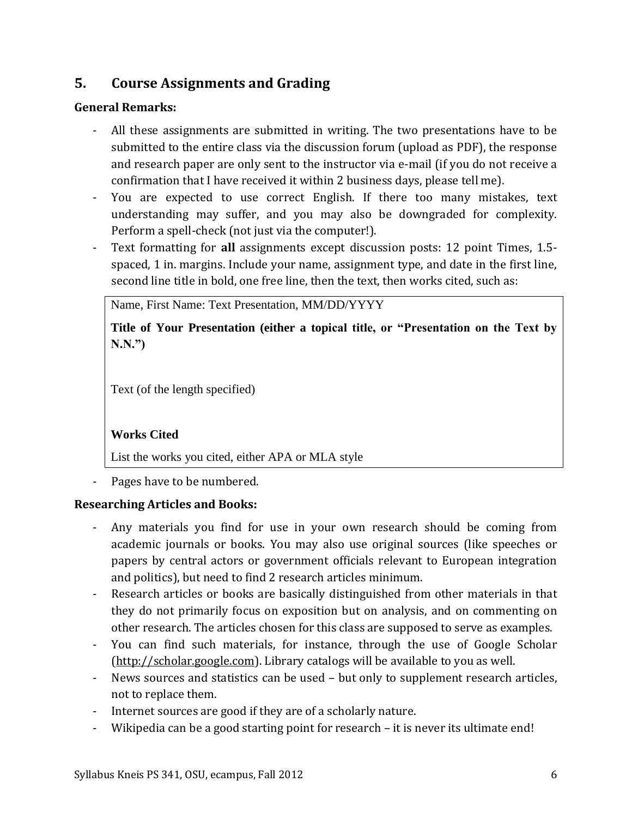# **5. Course Assignments and Grading**

## **General Remarks:**

- All these assignments are submitted in writing. The two presentations have to be submitted to the entire class via the discussion forum (upload as PDF), the response and research paper are only sent to the instructor via e-mail (if you do not receive a confirmation that I have received it within 2 business days, please tell me).
- You are expected to use correct English. If there too many mistakes, text understanding may suffer, and you may also be downgraded for complexity. Perform a spell-check (not just via the computer!).
- Text formatting for **all** assignments except discussion posts: 12 point Times, 1.5 spaced, 1 in. margins. Include your name, assignment type, and date in the first line, second line title in bold, one free line, then the text, then works cited, such as:

Name, First Name: Text Presentation, MM/DD/YYYY

**Title of Your Presentation (either a topical title, or "Presentation on the Text by N.N.")**

Text (of the length specified)

## **Works Cited**

List the works you cited, either APA or MLA style

Pages have to be numbered.

## **Researching Articles and Books:**

- Any materials you find for use in your own research should be coming from academic journals or books. You may also use original sources (like speeches or papers by central actors or government officials relevant to European integration and politics), but need to find 2 research articles minimum.
- Research articles or books are basically distinguished from other materials in that they do not primarily focus on exposition but on analysis, and on commenting on other research. The articles chosen for this class are supposed to serve as examples.
- You can find such materials, for instance, through the use of Google Scholar [\(http://scholar.google.com\)](http://scholar.google.com/). Library catalogs will be available to you as well.
- News sources and statistics can be used but only to supplement research articles, not to replace them.
- Internet sources are good if they are of a scholarly nature.
- Wikipedia can be a good starting point for research it is never its ultimate end!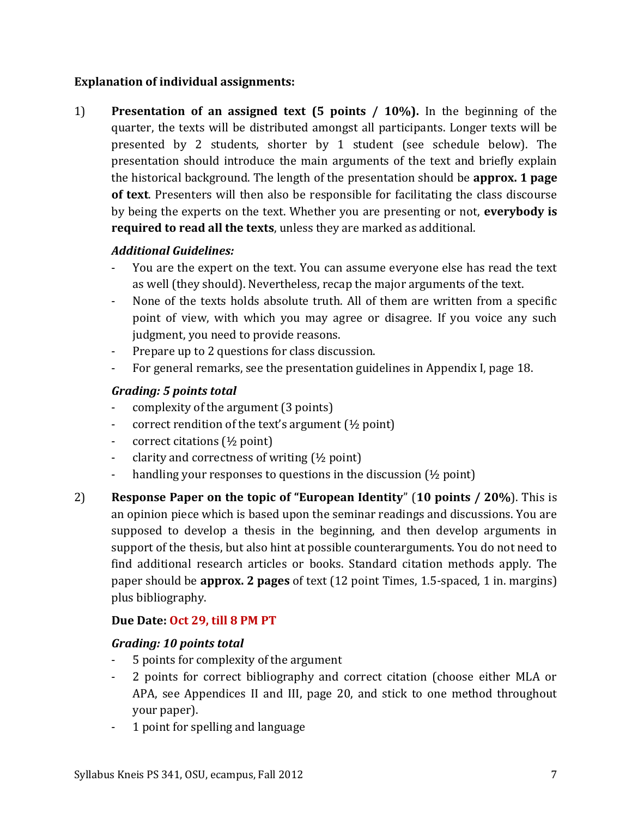## **Explanation of individual assignments:**

1) **Presentation of an assigned text (5 points / 10%).** In the beginning of the quarter, the texts will be distributed amongst all participants. Longer texts will be presented by 2 students, shorter by 1 student (see schedule below). The presentation should introduce the main arguments of the text and briefly explain the historical background. The length of the presentation should be **approx. 1 page of text**. Presenters will then also be responsible for facilitating the class discourse by being the experts on the text. Whether you are presenting or not, **everybody is required to read all the texts**, unless they are marked as additional.

## *Additional Guidelines:*

- You are the expert on the text. You can assume everyone else has read the text as well (they should). Nevertheless, recap the major arguments of the text.
- None of the texts holds absolute truth. All of them are written from a specific point of view, with which you may agree or disagree. If you voice any such judgment, you need to provide reasons.
- Prepare up to 2 questions for class discussion.
- For general remarks, see the presentation guidelines in Appendix I, page [18.](#page-17-0)

## *Grading: 5 points total*

- complexity of the argument (3 points)
- correct rendition of the text's argument (½ point)
- correct citations (½ point)
- clarity and correctness of writing  $(\frac{1}{2}$  point)
- handling your responses to questions in the discussion (½ point)
- 2) **Response Paper on the topic of "European Identity**" (**10 points / 20%**). This is an opinion piece which is based upon the seminar readings and discussions. You are supposed to develop a thesis in the beginning, and then develop arguments in support of the thesis, but also hint at possible counterarguments. You do not need to find additional research articles or books. Standard citation methods apply. The paper should be **approx. 2 pages** of text (12 point Times, 1.5-spaced, 1 in. margins) plus bibliography.

## **Due Date: Oct 29, till 8 PM PT**

### *Grading: 10 points total*

- 5 points for complexity of the argument
- 2 points for correct bibliography and correct citation (choose either MLA or APA, see Appendices II and III, page [20,](#page-19-0) and stick to one method throughout your paper).
- 1 point for spelling and language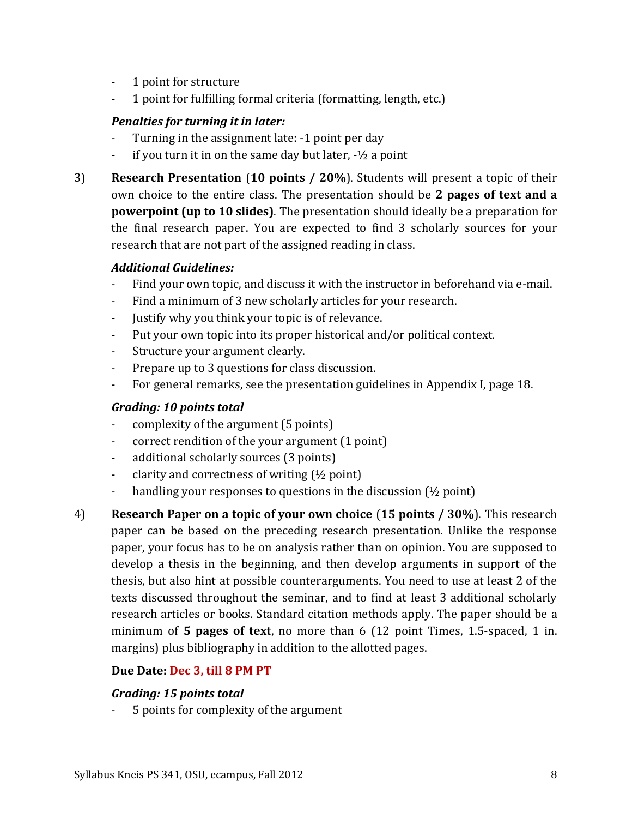- 1 point for structure
- 1 point for fulfilling formal criteria (formatting, length, etc.)

## *Penalties for turning it in later:*

- Turning in the assignment late: -1 point per day
- if you turn it in on the same day but later,  $-1/2$  a point
- 3) **Research Presentation** (**10 points / 20%**). Students will present a topic of their own choice to the entire class. The presentation should be **2 pages of text and a powerpoint (up to 10 slides)**. The presentation should ideally be a preparation for the final research paper. You are expected to find 3 scholarly sources for your research that are not part of the assigned reading in class.

## *Additional Guidelines:*

- Find your own topic, and discuss it with the instructor in beforehand via e-mail.
- Find a minimum of 3 new scholarly articles for your research.
- Justify why you think your topic is of relevance.
- Put your own topic into its proper historical and/or political context.
- Structure your argument clearly.
- Prepare up to 3 questions for class discussion.
- For general remarks, see the presentation guidelines in Appendix I, page [18.](#page-17-0)

## *Grading: 10 points total*

- complexity of the argument (5 points)
- correct rendition of the your argument (1 point)
- additional scholarly sources (3 points)
- clarity and correctness of writing (½ point)
- handling your responses to questions in the discussion (½ point)
- 4) **Research Paper on a topic of your own choice** (**15 points / 30%**). This research paper can be based on the preceding research presentation. Unlike the response paper, your focus has to be on analysis rather than on opinion. You are supposed to develop a thesis in the beginning, and then develop arguments in support of the thesis, but also hint at possible counterarguments. You need to use at least 2 of the texts discussed throughout the seminar, and to find at least 3 additional scholarly research articles or books. Standard citation methods apply. The paper should be a minimum of **5 pages of text**, no more than 6 (12 point Times, 1.5-spaced, 1 in. margins) plus bibliography in addition to the allotted pages.

### **Due Date: Dec 3, till 8 PM PT**

### *Grading: 15 points total*

5 points for complexity of the argument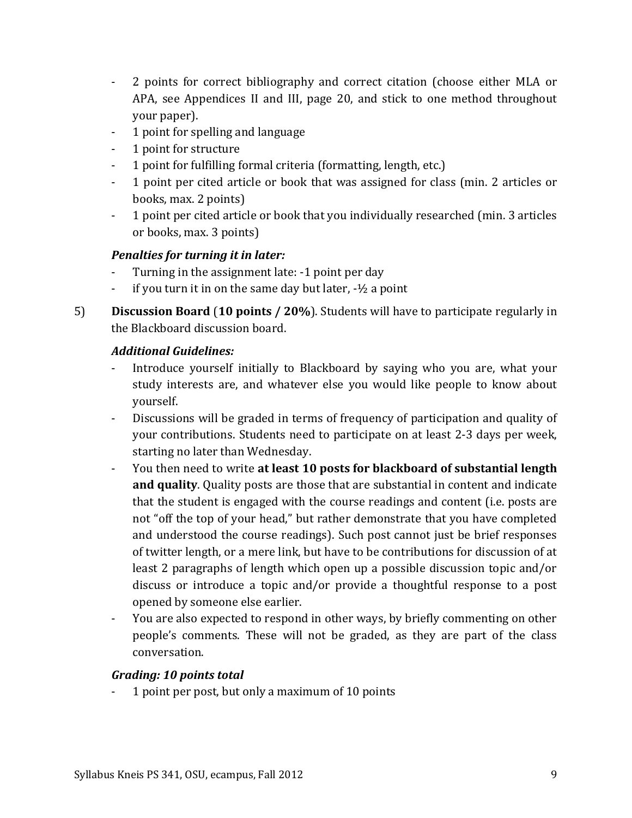- 2 points for correct bibliography and correct citation (choose either MLA or APA, see Appendices II and III, page [20,](#page-19-0) and stick to one method throughout your paper).
- 1 point for spelling and language
- 1 point for structure
- 1 point for fulfilling formal criteria (formatting, length, etc.)
- 1 point per cited article or book that was assigned for class (min. 2 articles or books, max. 2 points)
- 1 point per cited article or book that you individually researched (min. 3 articles or books, max. 3 points)

## *Penalties for turning it in later:*

- Turning in the assignment late: -1 point per day
- if you turn it in on the same day but later,  $-\frac{1}{2}$  a point
- 5) **Discussion Board** (**10 points / 20%**). Students will have to participate regularly in the Blackboard discussion board.

## *Additional Guidelines:*

- Introduce yourself initially to Blackboard by saying who you are, what your study interests are, and whatever else you would like people to know about yourself.
- Discussions will be graded in terms of frequency of participation and quality of your contributions. Students need to participate on at least 2-3 days per week, starting no later than Wednesday.
- You then need to write **at least 10 posts for blackboard of substantial length and quality**. Quality posts are those that are substantial in content and indicate that the student is engaged with the course readings and content (i.e. posts are not "off the top of your head," but rather demonstrate that you have completed and understood the course readings). Such post cannot just be brief responses of twitter length, or a mere link, but have to be contributions for discussion of at least 2 paragraphs of length which open up a possible discussion topic and/or discuss or introduce a topic and/or provide a thoughtful response to a post opened by someone else earlier.
- You are also expected to respond in other ways, by briefly commenting on other people's comments. These will not be graded, as they are part of the class conversation.

## *Grading: 10 points total*

- 1 point per post, but only a maximum of 10 points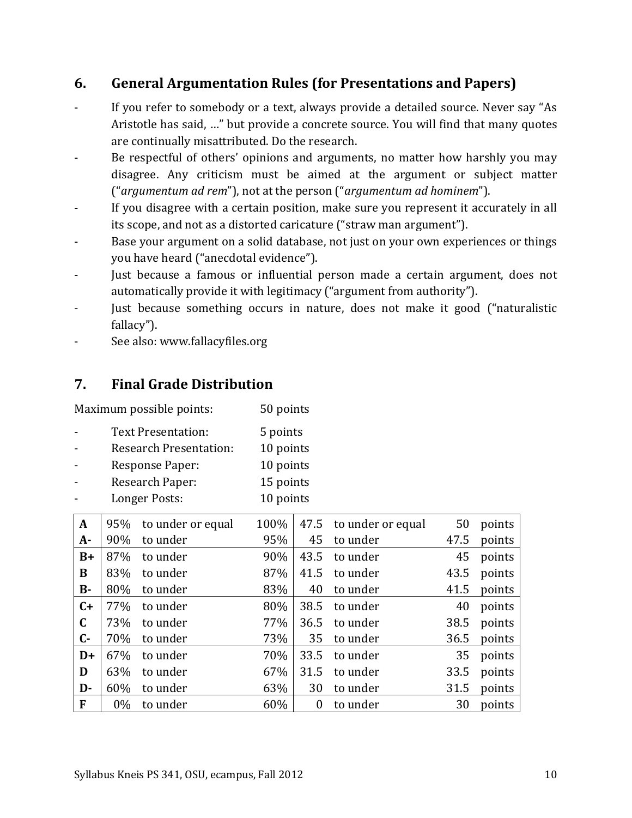## **6. General Argumentation Rules (for Presentations and Papers)**

- If you refer to somebody or a text, always provide a detailed source. Never say "As Aristotle has said, …" but provide a concrete source. You will find that many quotes are continually misattributed. Do the research.
- Be respectful of others' opinions and arguments, no matter how harshly you may disagree. Any criticism must be aimed at the argument or subject matter ("*argumentum ad rem*"), not at the person ("*argumentum ad hominem*").
- If you disagree with a certain position, make sure you represent it accurately in all its scope, and not as a distorted caricature ("straw man argument").
- Base your argument on a solid database, not just on your own experiences or things you have heard ("anecdotal evidence").
- Just because a famous or influential person made a certain argument, does not automatically provide it with legitimacy ("argument from authority").
- Just because something occurs in nature, does not make it good ("naturalistic fallacy").
- See also: www.fallacyfiles.org

## **7. Final Grade Distribution**

Maximum possible points: 50 points

- Text Presentation: 5 points
- Research Presentation: 10 points
- Response Paper: 10 points - Research Paper: 15 points
- Longer Posts: 10 points

| $\mathbf{A}$ | 95%   | to under or equal | 100% | 47.5           | to under or equal | 50   | points |
|--------------|-------|-------------------|------|----------------|-------------------|------|--------|
| $A-$         | 90%   | to under          | 95%  | 45             | to under          | 47.5 | points |
| $B+$         | 87%   | to under          | 90%  | 43.5           | to under          | 45   | points |
| B            | 83%   | to under          | 87%  | 41.5           | to under          | 43.5 | points |
| $B -$        | 80%   | to under          | 83%  | 40             | to under          | 41.5 | points |
| $C+$         | 77%   | to under          | 80%  | 38.5           | to under          | 40   | points |
| $\mathbf C$  | 73%   | to under          | 77%  | 36.5           | to under          | 38.5 | points |
| $C -$        | 70%   | to under          | 73%  | 35             | to under          | 36.5 | points |
| $D+$         | 67%   | to under          | 70%  | 33.5           | to under          | 35   | points |
| D            | 63%   | to under          | 67%  | 31.5           | to under          | 33.5 | points |
| D-           | 60%   | to under          | 63%  | 30             | to under          | 31.5 | points |
| F            | $0\%$ | to under          | 60%  | $\overline{0}$ | to under          | 30   | points |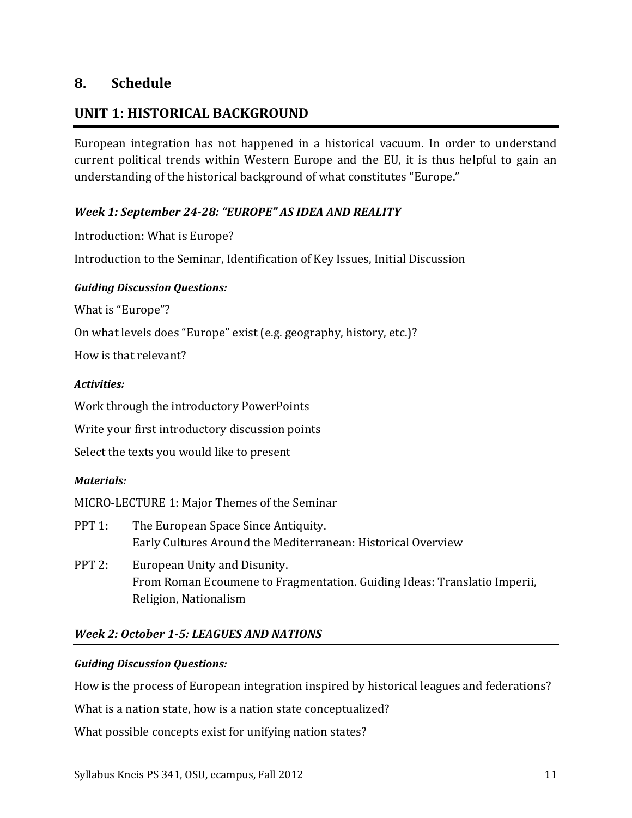## **8. Schedule**

## **UNIT 1: HISTORICAL BACKGROUND**

European integration has not happened in a historical vacuum. In order to understand current political trends within Western Europe and the EU, it is thus helpful to gain an understanding of the historical background of what constitutes "Europe."

## *Week 1: September 24-28: "EUROPE" AS IDEA AND REALITY*

Introduction: What is Europe?

Introduction to the Seminar, Identification of Key Issues, Initial Discussion

### *Guiding Discussion Questions:*

What is "Europe"?

On what levels does "Europe" exist (e.g. geography, history, etc.)?

How is that relevant?

### *Activities:*

Work through the introductory PowerPoints

Write your first introductory discussion points

Select the texts you would like to present

### *Materials:*

MICRO-LECTURE 1: Major Themes of the Seminar

- PPT 1: The European Space Since Antiquity. Early Cultures Around the Mediterranean: Historical Overview
- PPT 2: European Unity and Disunity. From Roman Ecoumene to Fragmentation. Guiding Ideas: Translatio Imperii, Religion, Nationalism

## *Week 2: October 1-5: LEAGUES AND NATIONS*

### *Guiding Discussion Questions:*

How is the process of European integration inspired by historical leagues and federations?

What is a nation state, how is a nation state conceptualized?

What possible concepts exist for unifying nation states?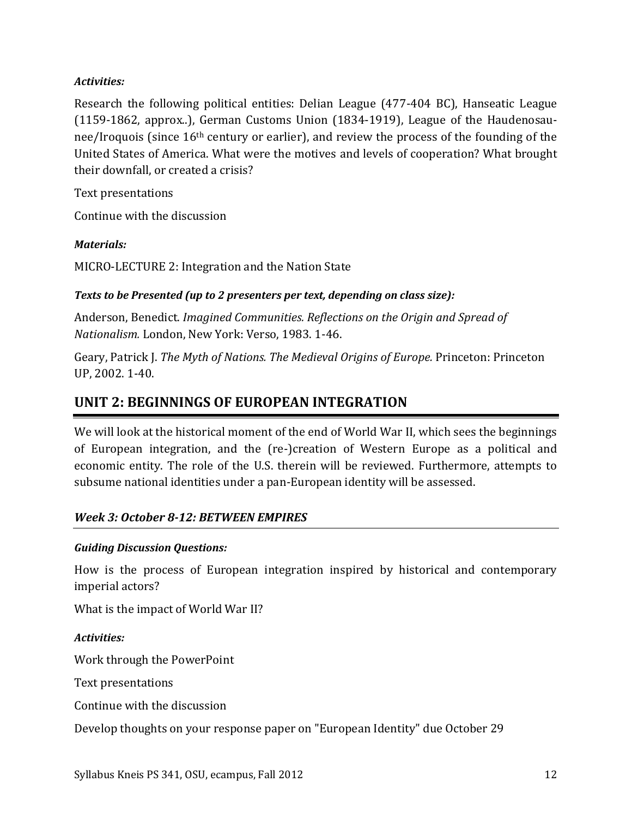### *Activities:*

Research the following political entities: Delian League (477-404 BC), Hanseatic League (1159-1862, approx..), German Customs Union (1834-1919), League of the Haudenosaunee/Iroquois (since 16th century or earlier), and review the process of the founding of the United States of America. What were the motives and levels of cooperation? What brought their downfall, or created a crisis?

Text presentations

Continue with the discussion

## *Materials:*

MICRO-LECTURE 2: Integration and the Nation State

## *Texts to be Presented (up to 2 presenters per text, depending on class size):*

Anderson, Benedict. *Imagined Communities. Reflections on the Origin and Spread of Nationalism.* London, New York: Verso, 1983. 1-46.

Geary, Patrick J. *The Myth of Nations. The Medieval Origins of Europe.* Princeton: Princeton UP, 2002. 1-40.

## **UNIT 2: BEGINNINGS OF EUROPEAN INTEGRATION**

We will look at the historical moment of the end of World War II, which sees the beginnings of European integration, and the (re-)creation of Western Europe as a political and economic entity. The role of the U.S. therein will be reviewed. Furthermore, attempts to subsume national identities under a pan-European identity will be assessed.

## *Week 3: October 8-12: BETWEEN EMPIRES*

## *Guiding Discussion Questions:*

How is the process of European integration inspired by historical and contemporary imperial actors?

What is the impact of World War II?

## *Activities:*

Work through the PowerPoint

Text presentations

Continue with the discussion

Develop thoughts on your response paper on "European Identity" due October 29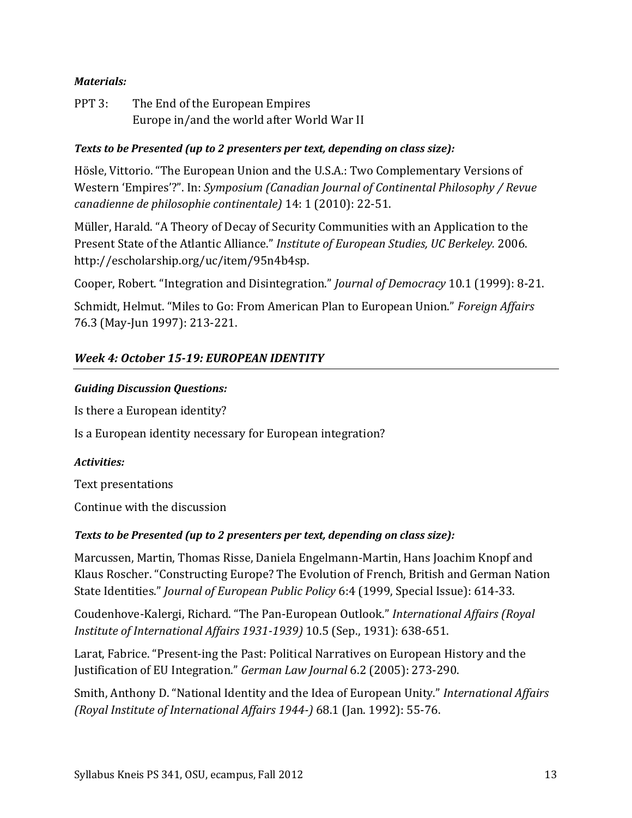### *Materials:*

PPT 3: The End of the European Empires Europe in/and the world after World War II

### *Texts to be Presented (up to 2 presenters per text, depending on class size):*

Hösle, Vittorio. "The European Union and the U.S.A.: Two Complementary Versions of Western 'Empires'?". In: *Symposium (Canadian Journal of Continental Philosophy / Revue canadienne de philosophie continentale)* 14: 1 (2010): 22-51.

Müller, Harald. "A Theory of Decay of Security Communities with an Application to the Present State of the Atlantic Alliance." *Institute of European Studies, UC Berkeley.* 2006. http://escholarship.org/uc/item/95n4b4sp.

Cooper, Robert. "Integration and Disintegration." *Journal of Democracy* 10.1 (1999): 8-21.

Schmidt, Helmut. "Miles to Go: From American Plan to European Union." *Foreign Affairs* 76.3 (May-Jun 1997): 213-221.

## *Week 4: October 15-19: EUROPEAN IDENTITY*

#### *Guiding Discussion Questions:*

Is there a European identity?

Is a European identity necessary for European integration?

#### *Activities:*

Text presentations

Continue with the discussion

### *Texts to be Presented (up to 2 presenters per text, depending on class size):*

Marcussen, Martin, Thomas Risse, Daniela Engelmann-Martin, Hans Joachim Knopf and Klaus Roscher. "Constructing Europe? The Evolution of French, British and German Nation State Identities." *Journal of European Public Policy* 6:4 (1999, Special Issue): 614-33.

Coudenhove-Kalergi, Richard. "The Pan-European Outlook." *International Affairs (Royal Institute of International Affairs 1931-1939)* 10.5 (Sep., 1931): 638-651.

Larat, Fabrice. "Present-ing the Past: Political Narratives on European History and the Justification of EU Integration." *German Law Journal* 6.2 (2005): 273-290.

Smith, Anthony D. "National Identity and the Idea of European Unity." *International Affairs (Royal Institute of International Affairs 1944-)* 68.1 (Jan. 1992): 55-76.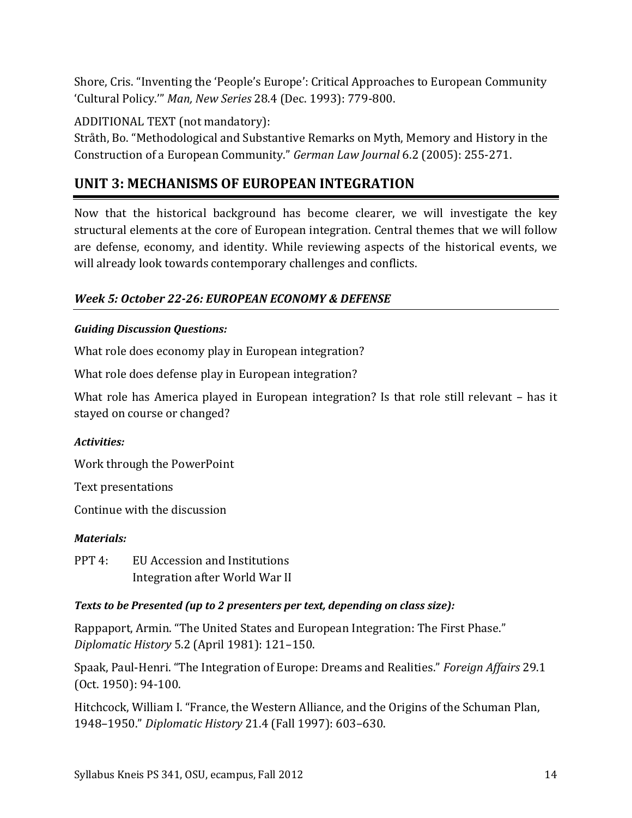Shore, Cris. "Inventing the 'People's Europe': Critical Approaches to European Community 'Cultural Policy.'" *Man, New Series* 28.4 (Dec. 1993): 779-800.

ADDITIONAL TEXT (not mandatory):

Stråth, Bo. "Methodological and Substantive Remarks on Myth, Memory and History in the Construction of a European Community." *German Law Journal* 6.2 (2005): 255-271.

# **UNIT 3: MECHANISMS OF EUROPEAN INTEGRATION**

Now that the historical background has become clearer, we will investigate the key structural elements at the core of European integration. Central themes that we will follow are defense, economy, and identity. While reviewing aspects of the historical events, we will already look towards contemporary challenges and conflicts.

## *Week 5: October 22-26: EUROPEAN ECONOMY & DEFENSE*

## *Guiding Discussion Questions:*

What role does economy play in European integration?

What role does defense play in European integration?

What role has America played in European integration? Is that role still relevant – has it stayed on course or changed?

## *Activities:*

Work through the PowerPoint

Text presentations

Continue with the discussion

## *Materials:*

PPT 4: EU Accession and Institutions Integration after World War II

## *Texts to be Presented (up to 2 presenters per text, depending on class size):*

Rappaport, Armin. "The United States and European Integration: The First Phase." *Diplomatic History* 5.2 (April 1981): 121–150.

Spaak, Paul-Henri. "The Integration of Europe: Dreams and Realities." *Foreign Affairs* 29.1 (Oct. 1950): 94-100.

Hitchcock, William I. "France, the Western Alliance, and the Origins of the Schuman Plan, 1948–1950." *Diplomatic History* 21.4 (Fall 1997): 603–630.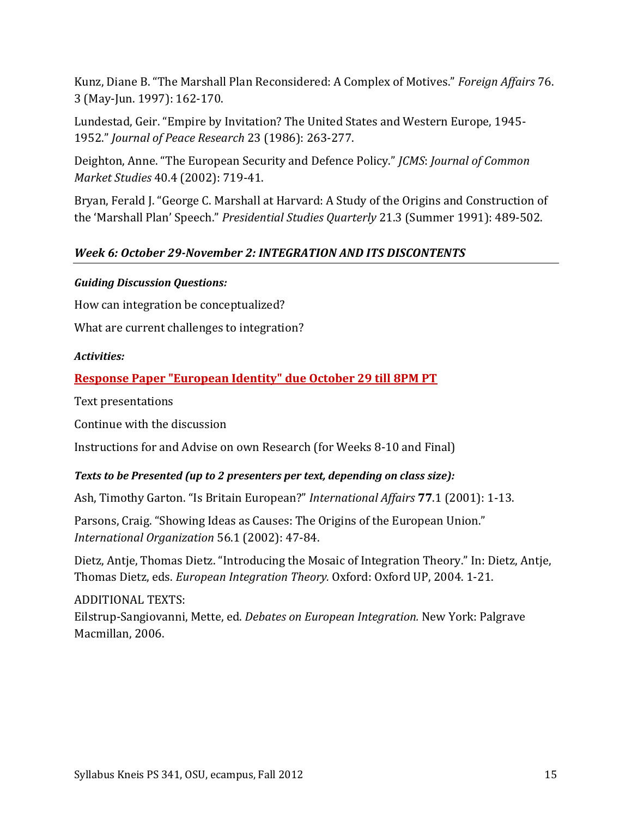Kunz, Diane B. "The Marshall Plan Reconsidered: A Complex of Motives." *Foreign Affairs* 76. 3 (May-Jun. 1997): 162-170.

Lundestad, Geir. "Empire by Invitation? The United States and Western Europe, 1945- 1952." *Journal of Peace Research* 23 (1986): 263-277.

Deighton, Anne. "The European Security and Defence Policy." *JCMS*: *Journal of Common Market Studies* 40.4 (2002): 719-41.

Bryan, Ferald J. "George C. Marshall at Harvard: A Study of the Origins and Construction of the 'Marshall Plan' Speech." *Presidential Studies Quarterly* 21.3 (Summer 1991): 489-502.

## *Week 6: October 29-November 2: INTEGRATION AND ITS DISCONTENTS*

### *Guiding Discussion Questions:*

How can integration be conceptualized?

What are current challenges to integration?

### *Activities:*

## **Response Paper "European Identity" due October 29 till 8PM PT**

Text presentations

Continue with the discussion

Instructions for and Advise on own Research (for Weeks 8-10 and Final)

### *Texts to be Presented (up to 2 presenters per text, depending on class size):*

Ash, Timothy Garton. "Is Britain European?" *International Affairs* **77**.1 (2001): 1-13.

Parsons, Craig. "Showing Ideas as Causes: The Origins of the European Union." *International Organization* 56.1 (2002): 47-84.

Dietz, Antje, Thomas Dietz. "Introducing the Mosaic of Integration Theory." In: Dietz, Antje, Thomas Dietz, eds. *European Integration Theory.* Oxford: Oxford UP, 2004. 1-21.

ADDITIONAL TEXTS: Eilstrup-Sangiovanni, Mette, ed. *Debates on European Integration.* New York: Palgrave Macmillan, 2006.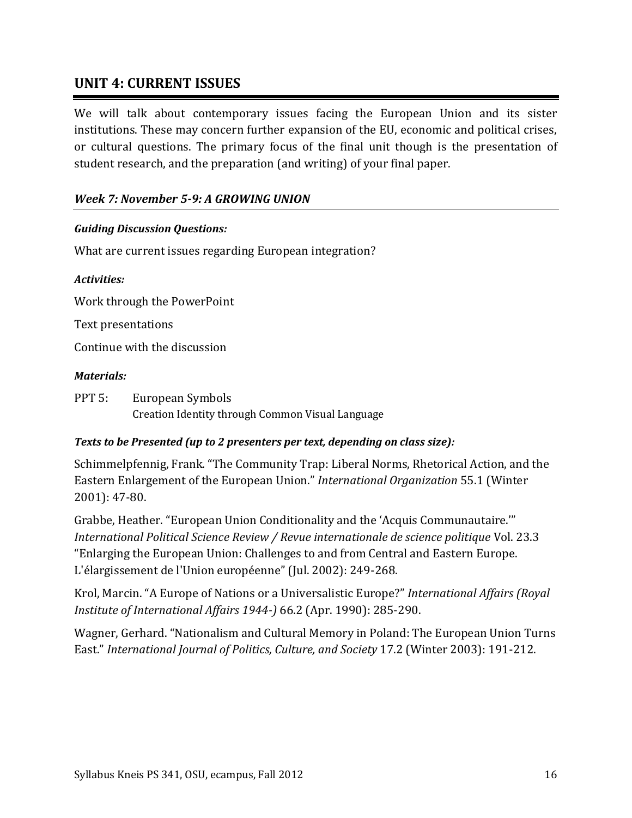## **UNIT 4: CURRENT ISSUES**

We will talk about contemporary issues facing the European Union and its sister institutions. These may concern further expansion of the EU, economic and political crises, or cultural questions. The primary focus of the final unit though is the presentation of student research, and the preparation (and writing) of your final paper.

## *Week 7: November 5-9: A GROWING UNION*

### *Guiding Discussion Questions:*

What are current issues regarding European integration?

#### *Activities:*

Work through the PowerPoint

Text presentations

Continue with the discussion

#### *Materials:*

PPT 5: European Symbols Creation Identity through Common Visual Language

### *Texts to be Presented (up to 2 presenters per text, depending on class size):*

Schimmelpfennig, Frank. "The Community Trap: Liberal Norms, Rhetorical Action, and the Eastern Enlargement of the European Union." *International Organization* 55.1 (Winter 2001): 47-80.

Grabbe, Heather. "European Union Conditionality and the 'Acquis Communautaire.'" *International Political Science Review / Revue internationale de science politique* Vol. 23.3 "Enlarging the European Union: Challenges to and from Central and Eastern Europe. L'élargissement de l'Union européenne" (Jul. 2002): 249-268.

Krol, Marcin. "A Europe of Nations or a Universalistic Europe?" *International Affairs (Royal Institute of International Affairs 1944-)* 66.2 (Apr. 1990): 285-290.

Wagner, Gerhard. "Nationalism and Cultural Memory in Poland: The European Union Turns East." *International Journal of Politics, Culture, and Society* 17.2 (Winter 2003): 191-212.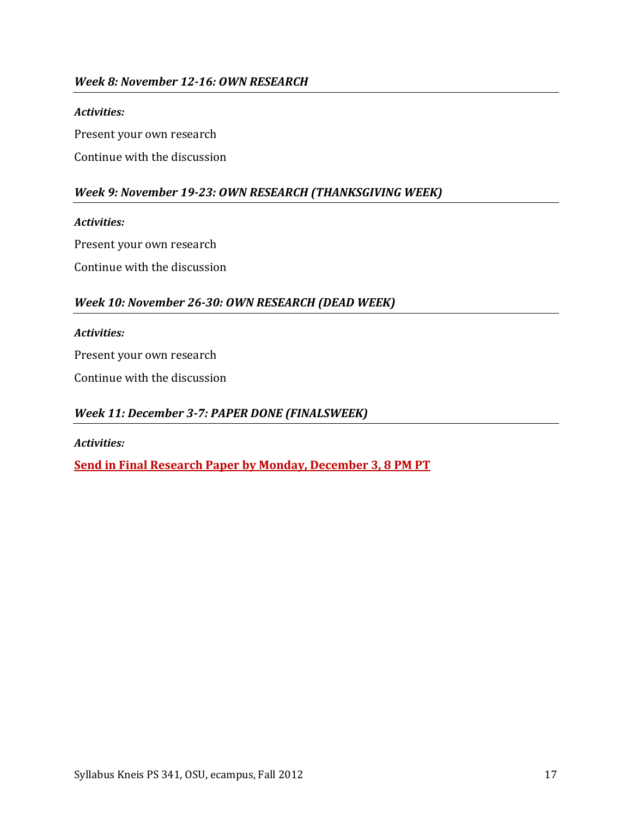## *Week 8: November 12-16: OWN RESEARCH*

#### *Activities:*

Present your own research

Continue with the discussion

## *Week 9: November 19-23: OWN RESEARCH (THANKSGIVING WEEK)*

#### *Activities:*

Present your own research

Continue with the discussion

### *Week 10: November 26-30: OWN RESEARCH (DEAD WEEK)*

#### *Activities:*

Present your own research

Continue with the discussion

### *Week 11: December 3-7: PAPER DONE (FINALSWEEK)*

*Activities:*

**Send in Final Research Paper by Monday, December 3, 8 PM PT**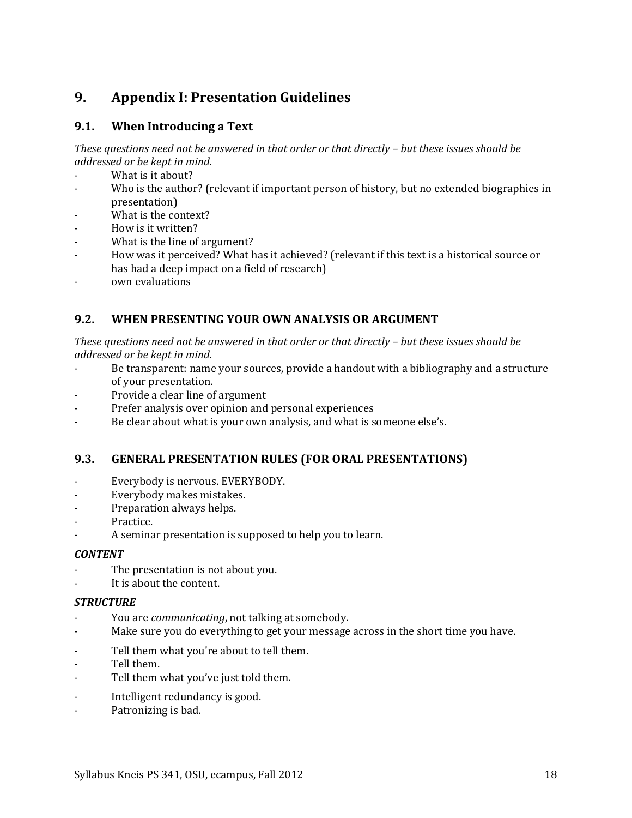## <span id="page-17-0"></span>**9. Appendix I: Presentation Guidelines**

### **9.1. When Introducing a Text**

*These questions need not be answered in that order or that directly – but these issues should be addressed or be kept in mind.*

- What is it about?
- Who is the author? (relevant if important person of history, but no extended biographies in presentation)
- What is the context?
- How is it written?
- What is the line of argument?
- How was it perceived? What has it achieved? (relevant if this text is a historical source or has had a deep impact on a field of research)
- own evaluations

## **9.2. WHEN PRESENTING YOUR OWN ANALYSIS OR ARGUMENT**

*These questions need not be answered in that order or that directly – but these issues should be addressed or be kept in mind.*

- Be transparent: name your sources, provide a handout with a bibliography and a structure of your presentation.
- Provide a clear line of argument
- Prefer analysis over opinion and personal experiences
- Be clear about what is your own analysis, and what is someone else's.

### **9.3. GENERAL PRESENTATION RULES (FOR ORAL PRESENTATIONS)**

- Everybody is nervous. EVERYBODY.
- Everybody makes mistakes.
- Preparation always helps.
- Practice.
- A seminar presentation is supposed to help you to learn.

#### *CONTENT*

- The presentation is not about you.
- It is about the content.

#### *STRUCTURE*

- You are *communicating*, not talking at somebody.
- Make sure you do everything to get your message across in the short time you have.
- Tell them what you're about to tell them.
- Tell them.
- Tell them what you've just told them.
- Intelligent redundancy is good.
- Patronizing is bad.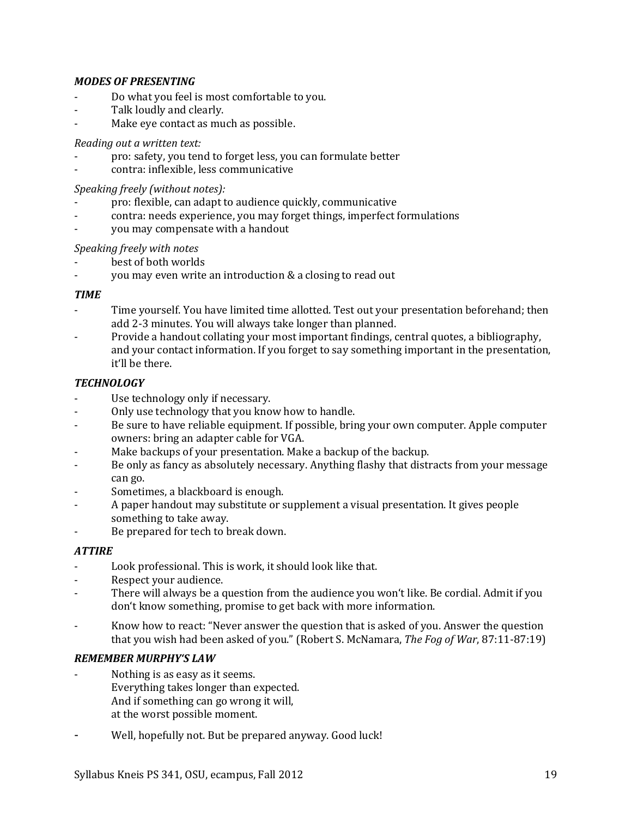#### *MODES OF PRESENTING*

- Do what you feel is most comfortable to you.
- Talk loudly and clearly.
- Make eye contact as much as possible.

#### *Reading out a written text:*

- pro: safety, you tend to forget less, you can formulate better
- contra: inflexible, less communicative

### *Speaking freely (without notes):*

- pro: flexible, can adapt to audience quickly, communicative
- contra: needs experience, you may forget things, imperfect formulations
- you may compensate with a handout

### *Speaking freely with notes*

- best of both worlds
- you may even write an introduction & a closing to read out

### *TIME*

- Time yourself. You have limited time allotted. Test out your presentation beforehand; then add 2-3 minutes. You will always take longer than planned.
- Provide a handout collating your most important findings, central quotes, a bibliography, and your contact information. If you forget to say something important in the presentation, it'll be there.

### *TECHNOLOGY*

- Use technology only if necessary.
- Only use technology that you know how to handle.
- Be sure to have reliable equipment. If possible, bring your own computer. Apple computer owners: bring an adapter cable for VGA.
- Make backups of your presentation. Make a backup of the backup.
- Be only as fancy as absolutely necessary. Anything flashy that distracts from your message can go.
- Sometimes, a blackboard is enough.
- A paper handout may substitute or supplement a visual presentation. It gives people something to take away.
- Be prepared for tech to break down.

### *ATTIRE*

- Look professional. This is work, it should look like that.
- Respect your audience.
- There will always be a question from the audience you won't like. Be cordial. Admit if you don't know something, promise to get back with more information.
- Know how to react: "Never answer the question that is asked of you. Answer the question that you wish had been asked of you." (Robert S. McNamara, *The Fog of War*, 87:11-87:19)

### *REMEMBER MURPHY'S LAW*

- Nothing is as easy as it seems. Everything takes longer than expected. And if something can go wrong it will, at the worst possible moment.
- Well, hopefully not. But be prepared anyway. Good luck!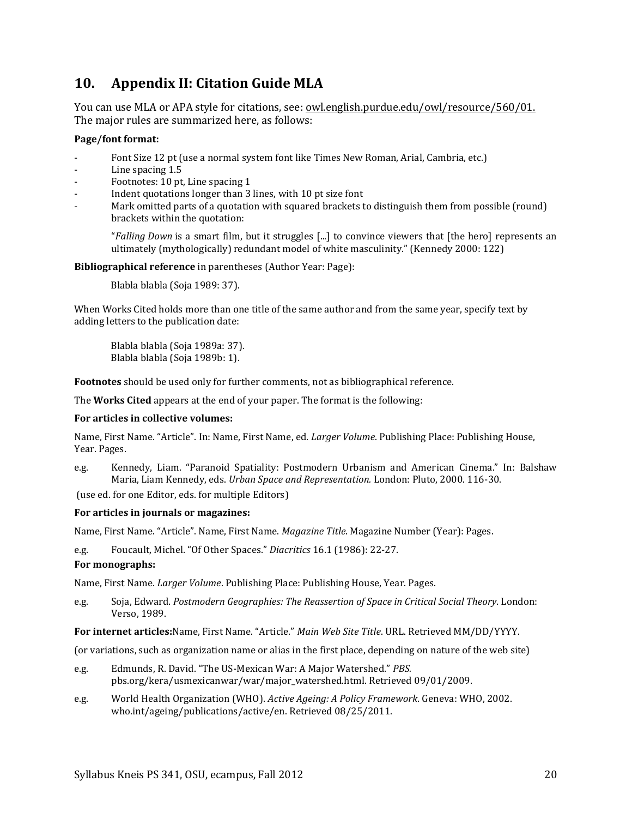## <span id="page-19-0"></span>**10. Appendix II: Citation Guide MLA**

You can use MLA or APA style for citations, see: <u>owl.english.purdue.edu/owl/resource/560/01.</u> The major rules are summarized here, as follows:

#### **Page/font format:**

- Font Size 12 pt (use a normal system font like Times New Roman, Arial, Cambria, etc.)
- Line spacing 1.5
- Footnotes: 10 pt, Line spacing 1
- Indent quotations longer than 3 lines, with 10 pt size font
- Mark omitted parts of a quotation with squared brackets to distinguish them from possible (round) brackets within the quotation:

"*Falling Down* is a smart film, but it struggles [...] to convince viewers that [the hero] represents an ultimately (mythologically) redundant model of white masculinity." (Kennedy 2000: 122)

**Bibliographical reference** in parentheses (Author Year: Page):

Blabla blabla (Soja 1989: 37).

When Works Cited holds more than one title of the same author and from the same year, specify text by adding letters to the publication date:

Blabla blabla (Soja 1989a: 37). Blabla blabla (Soja 1989b: 1).

**Footnotes** should be used only for further comments, not as bibliographical reference.

The **Works Cited** appears at the end of your paper. The format is the following:

#### **For articles in collective volumes:**

Name, First Name. "Article". In: Name, First Name, ed. *Larger Volume*. Publishing Place: Publishing House, Year. Pages.

e.g. Kennedy, Liam. "Paranoid Spatiality: Postmodern Urbanism and American Cinema." In: Balshaw Maria, Liam Kennedy, eds. *Urban Space and Representation.* London: Pluto, 2000. 116-30.

(use ed. for one Editor, eds. for multiple Editors)

#### **For articles in journals or magazines:**

Name, First Name. "Article". Name, First Name. *Magazine Title*. Magazine Number (Year): Pages.

e.g. Foucault, Michel. "Of Other Spaces." *Diacritics* 16.1 (1986): 22-27.

#### **For monographs:**

Name, First Name. *Larger Volume*. Publishing Place: Publishing House, Year. Pages.

e.g. Soja, Edward. *Postmodern Geographies: The Reassertion of Space in Critical Social Theory*. London: Verso, 1989.

**For internet articles:**Name, First Name. "Article." *Main Web Site Title*. URL. Retrieved MM/DD/YYYY.

(or variations, such as organization name or alias in the first place, depending on nature of the web site)

- e.g. Edmunds, R. David. "The US-Mexican War: A Major Watershed." *PBS.*  pbs.org/kera/usmexicanwar/war/major\_watershed.html. Retrieved 09/01/2009.
- e.g. World Health Organization (WHO). *Active Ageing: A Policy Framework*. Geneva: WHO, 2002. who.int/ageing/publications/active/en. Retrieved 08/25/2011.